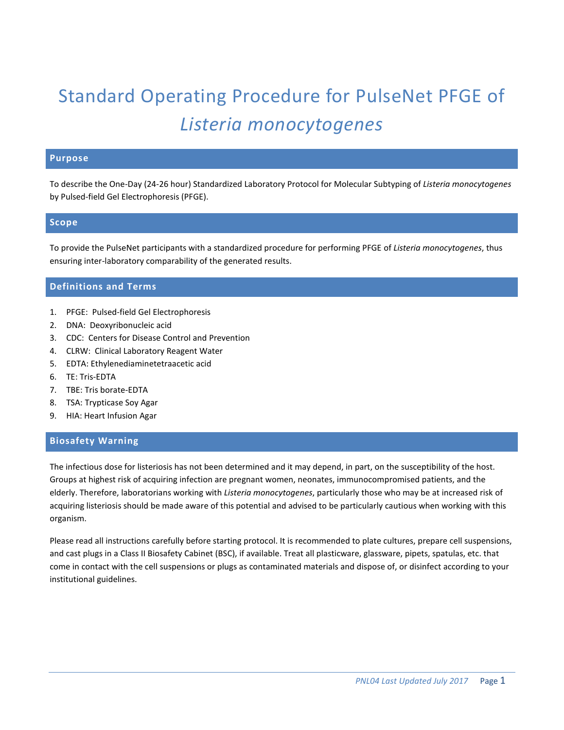# Standard Operating Procedure for PulseNet PFGE of *Listeria monocytogenes*

# **Purpose**

To describe the One-Day (24-26 hour) Standardized Laboratory Protocol for Molecular Subtyping of *Listeria monocytogenes*  by Pulsed-field Gel Electrophoresis (PFGE).

## **Scope**

To provide the PulseNet participants with a standardized procedure for performing PFGE of *Listeria monocytogenes*, thus ensuring inter-laboratory comparability of the generated results.

# **Definitions and Terms**

- 1. PFGE: Pulsed-field Gel Electrophoresis
- 2. DNA: Deoxyribonucleic acid
- 3. CDC: Centers for Disease Control and Prevention
- 4. CLRW: Clinical Laboratory Reagent Water
- 5. EDTA: Ethylenediaminetetraacetic acid
- 6. TE: Tris-EDTA
- 7. TBE: Tris borate-EDTA
- 8. TSA: Trypticase Soy Agar
- 9. HIA: Heart Infusion Agar

# **Biosafety Warning**

The infectious dose for listeriosis has not been determined and it may depend, in part, on the susceptibility of the host. Groups at highest risk of acquiring infection are pregnant women, neonates, immunocompromised patients, and the elderly. Therefore, laboratorians working with *Listeria monocytogenes*, particularly those who may be at increased risk of acquiring listeriosis should be made aware of this potential and advised to be particularly cautious when working with this organism.

Please read all instructions carefully before starting protocol. It is recommended to plate cultures, prepare cell suspensions, and cast plugs in a Class II Biosafety Cabinet (BSC), if available. Treat all plasticware, glassware, pipets, spatulas, etc. that come in contact with the cell suspensions or plugs as contaminated materials and dispose of, or disinfect according to your institutional guidelines.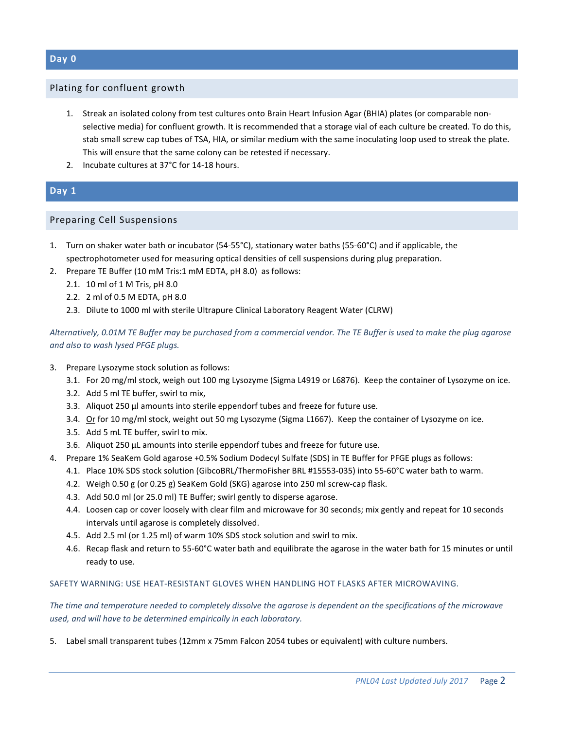## Plating for confluent growth

- 1. Streak an isolated colony from test cultures onto Brain Heart Infusion Agar (BHIA) plates (or comparable nonselective media) for confluent growth. It is recommended that a storage vial of each culture be created. To do this, stab small screw cap tubes of TSA, HIA, or similar medium with the same inoculating loop used to streak the plate. This will ensure that the same colony can be retested if necessary.
- 2. Incubate cultures at 37°C for 14-18 hours.

# **Day 1**

# Preparing Cell Suspensions

- 1. Turn on shaker water bath or incubator (54-55°C), stationary water baths (55-60°C) and if applicable, the spectrophotometer used for measuring optical densities of cell suspensions during plug preparation.
- 2. Prepare TE Buffer (10 mM Tris:1 mM EDTA, pH 8.0) as follows:
	- 2.1. 10 ml of 1 M Tris, pH 8.0
	- 2.2. 2 ml of 0.5 M EDTA, pH 8.0
	- 2.3. Dilute to 1000 ml with sterile Ultrapure Clinical Laboratory Reagent Water (CLRW)

*Alternatively, 0.01M TE Buffer may be purchased from a commercial vendor. The TE Buffer is used to make the plug agarose and also to wash lysed PFGE plugs.*

- 3. Prepare Lysozyme stock solution as follows:
	- 3.1. For 20 mg/ml stock, weigh out 100 mg Lysozyme (Sigma L4919 or L6876). Keep the container of Lysozyme on ice.
	- 3.2. Add 5 ml TE buffer, swirl to mix,
	- 3.3. Aliquot 250 µl amounts into sterile eppendorf tubes and freeze for future use.
	- 3.4. Or for 10 mg/ml stock, weight out 50 mg Lysozyme (Sigma L1667). Keep the container of Lysozyme on ice.
	- 3.5. Add 5 mL TE buffer, swirl to mix.
	- 3.6. Aliquot 250 µL amounts into sterile eppendorf tubes and freeze for future use.
- 4. Prepare 1% SeaKem Gold agarose +0.5% Sodium Dodecyl Sulfate (SDS) in TE Buffer for PFGE plugs as follows:
	- 4.1. Place 10% SDS stock solution (GibcoBRL/ThermoFisher BRL #15553-035) into 55-60°C water bath to warm.
	- 4.2. Weigh 0.50 g (or 0.25 g) SeaKem Gold (SKG) agarose into 250 ml screw-cap flask.
	- 4.3. Add 50.0 ml (or 25.0 ml) TE Buffer; swirl gently to disperse agarose.
	- 4.4. Loosen cap or cover loosely with clear film and microwave for 30 seconds; mix gently and repeat for 10 seconds intervals until agarose is completely dissolved.
	- 4.5. Add 2.5 ml (or 1.25 ml) of warm 10% SDS stock solution and swirl to mix.
	- 4.6. Recap flask and return to 55-60°C water bath and equilibrate the agarose in the water bath for 15 minutes or until ready to use.

### SAFETY WARNING: USE HEAT-RESISTANT GLOVES WHEN HANDLING HOT FLASKS AFTER MICROWAVING.

*The time and temperature needed to completely dissolve the agarose is dependent on the specifications of the microwave used, and will have to be determined empirically in each laboratory.*

5. Label small transparent tubes (12mm x 75mm Falcon 2054 tubes or equivalent) with culture numbers.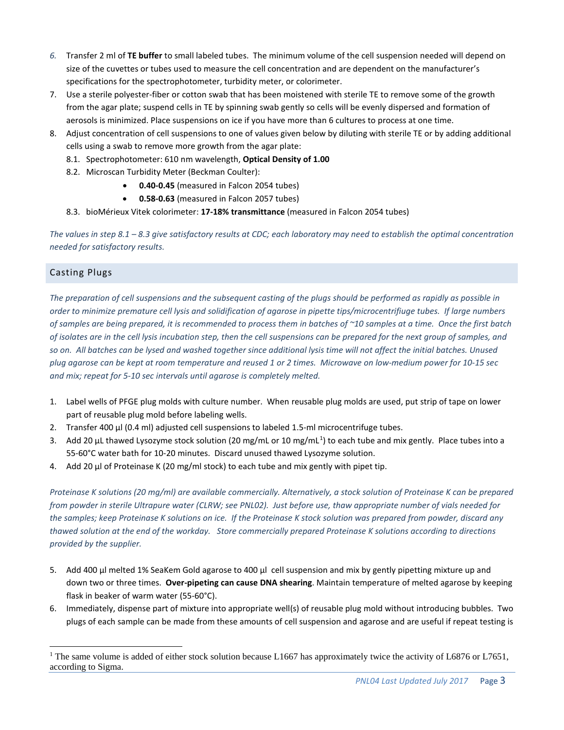- *6.* Transfer 2 ml of **TE buffer** to small labeled tubes. The minimum volume of the cell suspension needed will depend on size of the cuvettes or tubes used to measure the cell concentration and are dependent on the manufacturer's specifications for the spectrophotometer, turbidity meter, or colorimeter.
- 7. Use a sterile polyester-fiber or cotton swab that has been moistened with sterile TE to remove some of the growth from the agar plate; suspend cells in TE by spinning swab gently so cells will be evenly dispersed and formation of aerosols is minimized. Place suspensions on ice if you have more than 6 cultures to process at one time.
- 8. Adjust concentration of cell suspensions to one of values given below by diluting with sterile TE or by adding additional cells using a swab to remove more growth from the agar plate:
	- 8.1. Spectrophotometer: 610 nm wavelength, **Optical Density of 1.00**
	- 8.2. Microscan Turbidity Meter (Beckman Coulter):
		- **0.40-0.45** (measured in Falcon 2054 tubes)
		- **0.58-0.63** (measured in Falcon 2057 tubes)
	- 8.3. bioMérieux Vitek colorimeter: **17-18% transmittance** (measured in Falcon 2054 tubes)

*The values in step 8.1 – 8.3 give satisfactory results at CDC; each laboratory may need to establish the optimal concentration needed for satisfactory results.*

# Casting Plugs

*The preparation of cell suspensions and the subsequent casting of the plugs should be performed as rapidly as possible in order to minimize premature cell lysis and solidification of agarose in pipette tips/microcentrifiuge tubes. If large numbers of samples are being prepared, it is recommended to process them in batches of ~10 samples at a time. Once the first batch of isolates are in the cell lysis incubation step, then the cell suspensions can be prepared for the next group of samples, and so on. All batches can be lysed and washed together since additional lysis time will not affect the initial batches. Unused plug agarose can be kept at room temperature and reused 1 or 2 times. Microwave on low-medium power for 10-15 sec and mix; repeat for 5-10 sec intervals until agarose is completely melted.*

- 1. Label wells of PFGE plug molds with culture number. When reusable plug molds are used, put strip of tape on lower part of reusable plug mold before labeling wells.
- 2. Transfer 400 µl (0.4 ml) adjusted cell suspensions to labeled 1.5-ml microcentrifuge tubes.
- 3. Add 20 µL thawed Lysozyme stock solution (20 mg/mL or [1](#page-2-0)0 mg/mL<sup>1</sup>) to each tube and mix gently. Place tubes into a 55-60°C water bath for 10-20 minutes. Discard unused thawed Lysozyme solution.
- 4. Add 20  $\mu$ l of Proteinase K (20 mg/ml stock) to each tube and mix gently with pipet tip.

*Proteinase K solutions (20 mg/ml) are available commercially. Alternatively, a stock solution of Proteinase K can be prepared from powder in sterile Ultrapure water (CLRW; see PNL02). Just before use, thaw appropriate number of vials needed for the samples; keep Proteinase K solutions on ice. If the Proteinase K stock solution was prepared from powder, discard any thawed solution at the end of the workday. Store commercially prepared Proteinase K solutions according to directions provided by the supplier.*

- 5. Add 400 μl melted 1% SeaKem Gold agarose to 400 µl cell suspension and mix by gently pipetting mixture up and down two or three times. **Over-pipeting can cause DNA shearing**. Maintain temperature of melted agarose by keeping flask in beaker of warm water (55-60°C).
- 6. Immediately, dispense part of mixture into appropriate well(s) of reusable plug mold without introducing bubbles. Two plugs of each sample can be made from these amounts of cell suspension and agarose and are useful if repeat testing is

<span id="page-2-0"></span><sup>&</sup>lt;sup>1</sup> The same volume is added of either stock solution because L1667 has approximately twice the activity of L6876 or L7651, according to Sigma.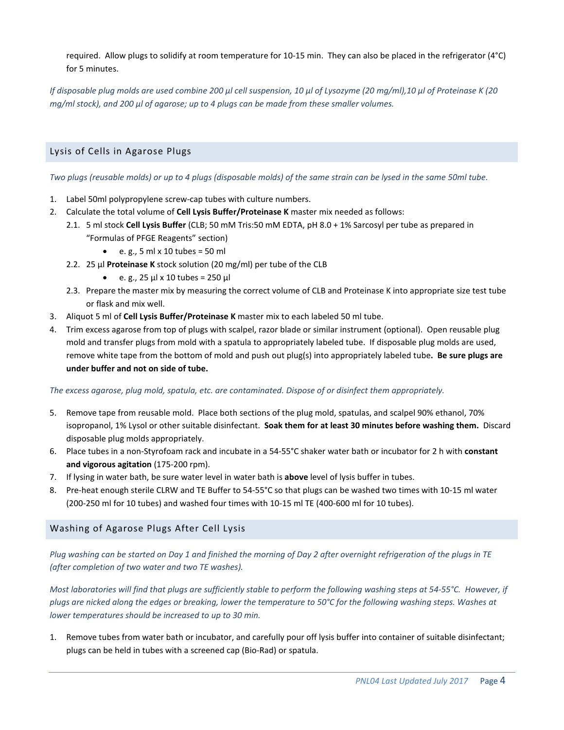required. Allow plugs to solidify at room temperature for 10-15 min. They can also be placed in the refrigerator (4°C) for 5 minutes.

*If disposable plug molds are used combine 200 μl cell suspension, 10 μl of Lysozyme (20 mg/ml),10 μl of Proteinase K (20 mg/ml stock), and 200 μl of agarose; up to 4 plugs can be made from these smaller volumes.*

# Lysis of Cells in Agarose Plugs

*Two plugs (reusable molds) or up to 4 plugs (disposable molds) of the same strain can be lysed in the same 50ml tube.*

- 1. Label 50ml polypropylene screw-cap tubes with culture numbers.
- 2. Calculate the total volume of **Cell Lysis Buffer/Proteinase K** master mix needed as follows:
	- 2.1. 5 ml stock **Cell Lysis Buffer** (CLB; 50 mM Tris:50 mM EDTA, pH 8.0 + 1% Sarcosyl per tube as prepared in "Formulas of PFGE Reagents" section)
		- $\bullet$  e.g., 5 ml x 10 tubes = 50 ml
	- 2.2. 25 µl **Proteinase K** stock solution (20 mg/ml) per tube of the CLB
		- e. g.,  $25 \mu x 10 \text{ tubes} = 250 \mu$
	- 2.3. Prepare the master mix by measuring the correct volume of CLB and Proteinase K into appropriate size test tube or flask and mix well.
- 3. Aliquot 5 ml of **Cell Lysis Buffer/Proteinase K** master mix to each labeled 50 ml tube.
- 4. Trim excess agarose from top of plugs with scalpel, razor blade or similar instrument (optional). Open reusable plug mold and transfer plugs from mold with a spatula to appropriately labeled tube. If disposable plug molds are used, remove white tape from the bottom of mold and push out plug(s) into appropriately labeled tube**. Be sure plugs are under buffer and not on side of tube.**

### *The excess agarose, plug mold, spatula, etc. are contaminated. Dispose of or disinfect them appropriately.*

- 5. Remove tape from reusable mold. Place both sections of the plug mold, spatulas, and scalpel 90% ethanol, 70% isopropanol, 1% Lysol or other suitable disinfectant. **Soak them for at least 30 minutes before washing them.** Discard disposable plug molds appropriately.
- 6. Place tubes in a non-Styrofoam rack and incubate in a 54-55°C shaker water bath or incubator for 2 h with **constant and vigorous agitation** (175-200 rpm).
- 7. If lysing in water bath, be sure water level in water bath is **above** level of lysis buffer in tubes.
- 8. Pre-heat enough sterile CLRW and TE Buffer to 54-55°C so that plugs can be washed two times with 10-15 ml water (200-250 ml for 10 tubes) and washed four times with 10-15 ml TE (400-600 ml for 10 tubes).

# Washing of Agarose Plugs After Cell Lysis

*Plug washing can be started on Day 1 and finished the morning of Day 2 after overnight refrigeration of the plugs in TE (after completion of two water and two TE washes).*

*Most laboratories will find that plugs are sufficiently stable to perform the following washing steps at 54-55°C. However, if plugs are nicked along the edges or breaking, lower the temperature to 50°C for the following washing steps. Washes at lower temperatures should be increased to up to 30 min.*

1. Remove tubes from water bath or incubator, and carefully pour off lysis buffer into container of suitable disinfectant; plugs can be held in tubes with a screened cap (Bio-Rad) or spatula.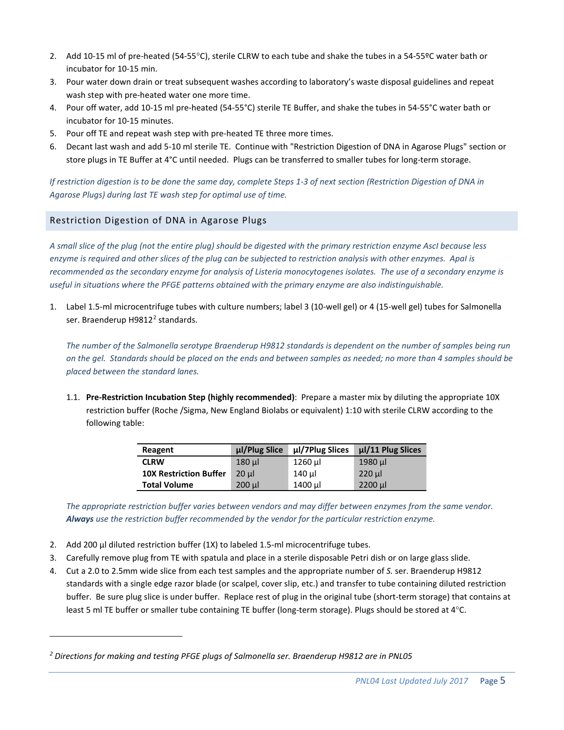- 2. Add 10-15 ml of pre-heated (54-55°C), sterile CLRW to each tube and shake the tubes in a 54-55ºC water bath or incubator for 10-15 min.
- 3. Pour water down drain or treat subsequent washes according to laboratory's waste disposal guidelines and repeat wash step with pre-heated water one more time.
- 4. Pour off water, add 10-15 ml pre-heated (54-55°C) sterile TE Buffer, and shake the tubes in 54-55°C water bath or incubator for 10-15 minutes.
- 5. Pour off TE and repeat wash step with pre-heated TE three more times.
- 6. Decant last wash and add 5-10 ml sterile TE. Continue with "Restriction Digestion of DNA in Agarose Plugs" section or store plugs in TE Buffer at 4°C until needed. Plugs can be transferred to smaller tubes for long-term storage.

*If restriction digestion is to be done the same day, complete Steps 1-3 of next section (Restriction Digestion of DNA in Agarose Plugs) during last TE wash step for optimal use of time.*

# Restriction Digestion of DNA in Agarose Plugs

*A small slice of the plug (not the entire plug) should be digested with the primary restriction enzyme AscI because less enzyme is required and other slices of the plug can be subjected to restriction analysis with other enzymes. ApaI is recommended as the secondary enzyme for analysis of Listeria monocytogenes isolates. The use of a secondary enzyme is useful in situations where the PFGE patterns obtained with the primary enzyme are also indistinguishable.* 

1. Label 1.5-ml microcentrifuge tubes with culture numbers; label 3 (10-well gel) or 4 (15-well gel) tubes for Salmonella ser. Braenderup H981[2](#page-4-0)<sup>2</sup> standards.

*The number of the Salmonella serotype Braenderup H9812 standards is dependent on the number of samples being run on the gel. Standards should be placed on the ends and between samples as needed; no more than 4 samples should be placed between the standard lanes.*

1.1. **Pre-Restriction Incubation Step (highly recommended)**: Prepare a master mix by diluting the appropriate 10X restriction buffer (Roche /Sigma, New England Biolabs or equivalent) 1:10 with sterile CLRW according to the following table:

| Reagent                       | ul/Plug Slice | µl/7Plug Slices | µl/11 Plug Slices |
|-------------------------------|---------------|-----------------|-------------------|
| <b>CLRW</b>                   | $180$ $\mu$   | 1260 µl         | 1980 µl           |
| <b>10X Restriction Buffer</b> | $20$ ul       | 140 µl          | $220$ $\mu$       |
| <b>Total Volume</b>           | $200$ $\mu$   | 1400 µl         | 2200 µl           |

*The appropriate restriction buffer varies between vendors and may differ between enzymes from the same vendor. Always use the restriction buffer recommended by the vendor for the particular restriction enzyme.*

- 2. Add 200 µl diluted restriction buffer (1X) to labeled 1.5-ml microcentrifuge tubes.
- 3. Carefully remove plug from TE with spatula and place in a sterile disposable Petri dish or on large glass slide.
- 4. Cut a 2.0 to 2.5mm wide slice from each test samples and the appropriate number of *S.* ser. Braenderup H9812 standards with a single edge razor blade (or scalpel, cover slip, etc.) and transfer to tube containing diluted restriction buffer. Be sure plug slice is under buffer. Replace rest of plug in the original tube (short-term storage) that contains at least 5 ml TE buffer or smaller tube containing TE buffer (long-term storage). Plugs should be stored at 4°C.

<span id="page-4-0"></span>*<sup>2</sup> Directions for making and testing PFGE plugs of Salmonella ser. Braenderup H9812 are in PNL05*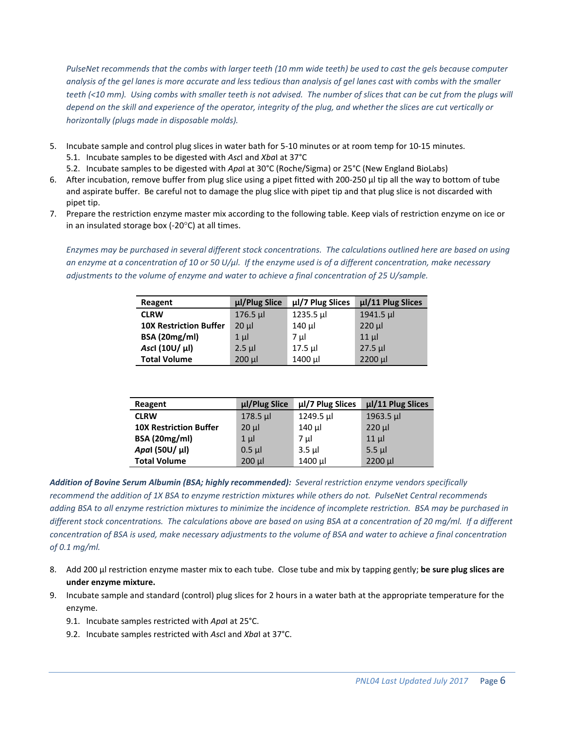*PulseNet recommends that the combs with larger teeth (10 mm wide teeth) be used to cast the gels because computer analysis of the gel lanes is more accurate and less tedious than analysis of gel lanes cast with combs with the smaller teeth (<10 mm). Using combs with smaller teeth is not advised. The number of slices that can be cut from the plugs will depend on the skill and experience of the operator, integrity of the plug, and whether the slices are cut vertically or horizontally (plugs made in disposable molds).*

- 5. Incubate sample and control plug slices in water bath for 5-10 minutes or at room temp for 10-15 minutes. 5.1. Incubate samples to be digested with *Asc*I and *Xba*I at 37°C
	- 5.2. Incubate samples to be digested with *Apa*I at 30°C (Roche/Sigma) or 25°C (New England BioLabs)
- 6. After incubation, remove buffer from plug slice using a pipet fitted with 200-250 µl tip all the way to bottom of tube and aspirate buffer. Be careful not to damage the plug slice with pipet tip and that plug slice is not discarded with pipet tip.
- 7. Prepare the restriction enzyme master mix according to the following table. Keep vials of restriction enzyme on ice or in an insulated storage box (-20°C) at all times.

*Enzymes may be purchased in several different stock concentrations. The calculations outlined here are based on using an enzyme at a concentration of 10 or 50 U/μl. If the enzyme used is of a different concentration, make necessary adjustments to the volume of enzyme and water to achieve a final concentration of 25 U/sample.*

| Reagent                       | µl/Plug Slice | µl/7 Plug Slices | µl/11 Plug Slices |
|-------------------------------|---------------|------------------|-------------------|
| <b>CLRW</b>                   | $176.5 \mu$   | 1235.5 µl        | $1941.5 \mu$      |
| <b>10X Restriction Buffer</b> | $20 \mu$      | 140 µl           | $220 \mu$         |
| <b>BSA (20mg/ml)</b>          | $1 \mu$       | 7 µl             | $11$ µ            |
| Ascl (10U/ µl)                | $2.5$ µl      | 17.5 µl          | $27.5$ µl         |
| <b>Total Volume</b>           | $200$ $\mu$   | 1400 µl          | 2200 µl           |

| Reagent                       | µl/Plug Slice | µl/7 Plug Slices | µl/11 Plug Slices |
|-------------------------------|---------------|------------------|-------------------|
| <b>CLRW</b>                   | $178.5 \mu$   | $1249.5 \mu$     | $1963.5 \mu$      |
| <b>10X Restriction Buffer</b> | $20 \mu$      | 140 µl           | $220$ $\mu$       |
| <b>BSA (20mg/ml)</b>          | $1 \mu$       | 7 µl             | $11 \mu$          |
| Apal (50U/ µl)                | $0.5$ µ       | $3.5$ $\mu$      | $5.5 \mu$         |
| <b>Total Volume</b>           | $200$ $\mu$   | 1400 µl          | 2200 µl           |

*Addition of Bovine Serum Albumin (BSA; highly recommended): Several restriction enzyme vendors specifically recommend the addition of 1X BSA to enzyme restriction mixtures while others do not. PulseNet Central recommends adding BSA to all enzyme restriction mixtures to minimize the incidence of incomplete restriction. BSA may be purchased in different stock concentrations. The calculations above are based on using BSA at a concentration of 20 mg/ml. If a different concentration of BSA is used, make necessary adjustments to the volume of BSA and water to achieve a final concentration of 0.1 mg/ml.*

- 8. Add 200 µl restriction enzyme master mix to each tube. Close tube and mix by tapping gently; **be sure plug slices are under enzyme mixture.**
- 9. Incubate sample and standard (control) plug slices for 2 hours in a water bath at the appropriate temperature for the enzyme.
	- 9.1. Incubate samples restricted with *Apa*I at 25°C.
	- 9.2. Incubate samples restricted with *Asc*I and *Xba*I at 37°C.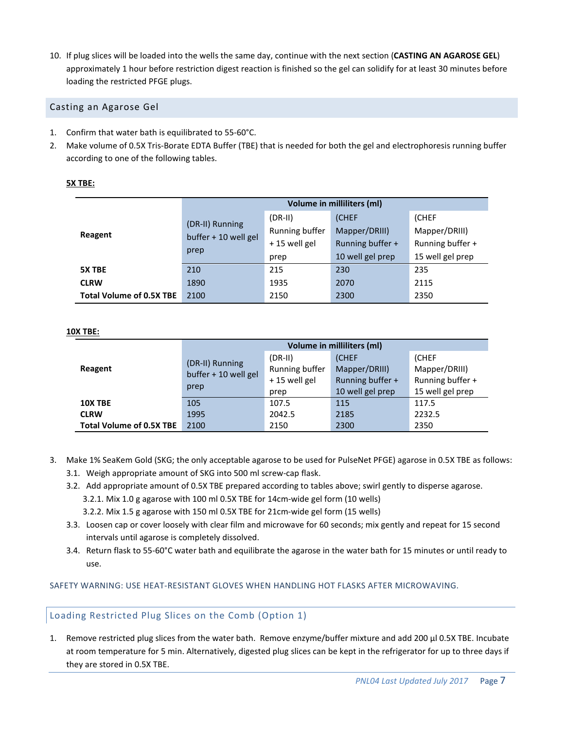10. If plug slices will be loaded into the wells the same day, continue with the next section (**CASTING AN AGAROSE GEL**) approximately 1 hour before restriction digest reaction is finished so the gel can solidify for at least 30 minutes before loading the restricted PFGE plugs.

## Casting an Agarose Gel

- 1. Confirm that water bath is equilibrated to 55-60°C.
- 2. Make volume of 0.5X Tris-Borate EDTA Buffer (TBE) that is needed for both the gel and electrophoresis running buffer according to one of the following tables.

|                                 |                                         |                | Volume in milliliters (ml) |                  |  |
|---------------------------------|-----------------------------------------|----------------|----------------------------|------------------|--|
|                                 |                                         | $(DR-II)$      | (CHEF                      | (CHEF            |  |
| Reagent                         | (DR-II) Running<br>buffer + 10 well gel | Running buffer | Mapper/DRIII)              | Mapper/DRIII)    |  |
|                                 |                                         | +15 well gel   | Running buffer +           | Running buffer + |  |
|                                 | prep                                    | prep           | 10 well gel prep           | 15 well gel prep |  |
| 5X TBE                          | 210                                     | 215            | 230                        | 235              |  |
| <b>CLRW</b>                     | 1890                                    | 1935           | 2070                       | 2115             |  |
| <b>Total Volume of 0.5X TBE</b> | 2100                                    | 2150           | 2300                       | 2350             |  |

## **5X TBE:**

#### **10X TBE:**

|                                 |                              |                             | Volume in milliliters (ml)           |                                      |  |
|---------------------------------|------------------------------|-----------------------------|--------------------------------------|--------------------------------------|--|
| Reagent                         | (DR-II) Running              | $(DR-II)$<br>Running buffer | <b>(CHEF</b><br>Mapper/DRIII)        | (CHEF<br>Mapper/DRIII)               |  |
|                                 | buffer + 10 well gel<br>prep | +15 well gel                | Running buffer +<br>10 well gel prep | Running buffer +<br>15 well gel prep |  |
| 10X TBE                         | 105                          | prep<br>107.5               | 115                                  | 117.5                                |  |
| <b>CLRW</b>                     | 1995                         | 2042.5                      | 2185                                 | 2232.5                               |  |
| <b>Total Volume of 0.5X TBE</b> | 2100                         | 2150                        | 2300                                 | 2350                                 |  |

- 3. Make 1% SeaKem Gold (SKG; the only acceptable agarose to be used for PulseNet PFGE) agarose in 0.5X TBE as follows:
	- 3.1. Weigh appropriate amount of SKG into 500 ml screw-cap flask.
	- 3.2. Add appropriate amount of 0.5X TBE prepared according to tables above; swirl gently to disperse agarose.
		- 3.2.1. Mix 1.0 g agarose with 100 ml 0.5X TBE for 14cm-wide gel form (10 wells)
		- 3.2.2. Mix 1.5 g agarose with 150 ml 0.5X TBE for 21cm-wide gel form (15 wells)
	- 3.3. Loosen cap or cover loosely with clear film and microwave for 60 seconds; mix gently and repeat for 15 second intervals until agarose is completely dissolved.
	- 3.4. Return flask to 55-60°C water bath and equilibrate the agarose in the water bath for 15 minutes or until ready to use.

SAFETY WARNING: USE HEAT-RESISTANT GLOVES WHEN HANDLING HOT FLASKS AFTER MICROWAVING.

# Loading Restricted Plug Slices on the Comb (Option 1)

1. Remove restricted plug slices from the water bath. Remove enzyme/buffer mixture and add 200 μl 0.5X TBE. Incubate at room temperature for 5 min. Alternatively, digested plug slices can be kept in the refrigerator for up to three days if they are stored in 0.5X TBE.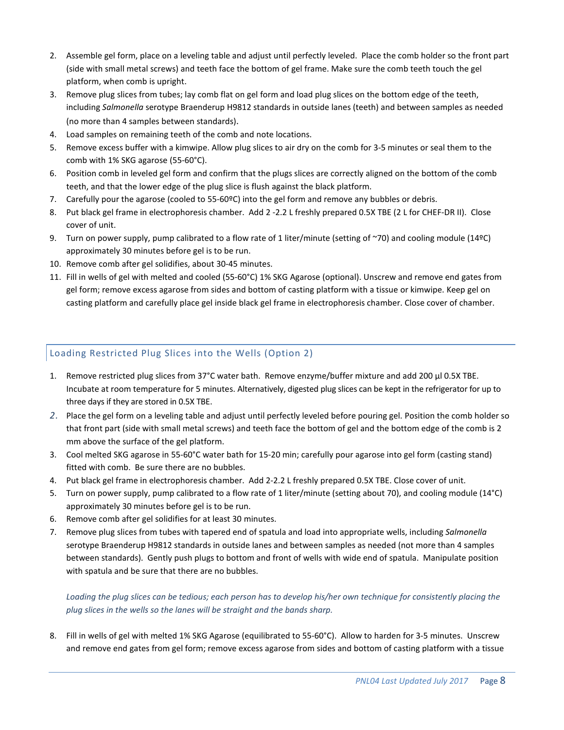- 2. Assemble gel form, place on a leveling table and adjust until perfectly leveled. Place the comb holder so the front part (side with small metal screws) and teeth face the bottom of gel frame. Make sure the comb teeth touch the gel platform, when comb is upright.
- 3. Remove plug slices from tubes; lay comb flat on gel form and load plug slices on the bottom edge of the teeth, including *Salmonella* serotype Braenderup H9812 standards in outside lanes (teeth) and between samples as needed (no more than 4 samples between standards).
- 4. Load samples on remaining teeth of the comb and note locations.
- 5. Remove excess buffer with a kimwipe. Allow plug slices to air dry on the comb for 3-5 minutes or seal them to the comb with 1% SKG agarose (55-60°C).
- 6. Position comb in leveled gel form and confirm that the plugs slices are correctly aligned on the bottom of the comb teeth, and that the lower edge of the plug slice is flush against the black platform.
- 7. Carefully pour the agarose (cooled to 55-60ºC) into the gel form and remove any bubbles or debris.
- 8. Put black gel frame in electrophoresis chamber. Add 2 -2.2 L freshly prepared 0.5X TBE (2 L for CHEF-DR II). Close cover of unit.
- 9. Turn on power supply, pump calibrated to a flow rate of 1 liter/minute (setting of ~70) and cooling module (14ºC) approximately 30 minutes before gel is to be run.
- 10. Remove comb after gel solidifies, about 30-45 minutes.
- 11. Fill in wells of gel with melted and cooled (55-60°C) 1% SKG Agarose (optional). Unscrew and remove end gates from gel form; remove excess agarose from sides and bottom of casting platform with a tissue or kimwipe. Keep gel on casting platform and carefully place gel inside black gel frame in electrophoresis chamber. Close cover of chamber.

# Loading Restricted Plug Slices into the Wells (Option 2)

- 1. Remove restricted plug slices from 37°C water bath. Remove enzyme/buffer mixture and add 200 µl 0.5X TBE. Incubate at room temperature for 5 minutes. Alternatively, digested plug slices can be kept in the refrigerator for up to three days if they are stored in 0.5X TBE.
- *2.* Place the gel form on a leveling table and adjust until perfectly leveled before pouring gel. Position the comb holder so that front part (side with small metal screws) and teeth face the bottom of gel and the bottom edge of the comb is 2 mm above the surface of the gel platform.
- 3. Cool melted SKG agarose in 55-60°C water bath for 15-20 min; carefully pour agarose into gel form (casting stand) fitted with comb. Be sure there are no bubbles.
- 4. Put black gel frame in electrophoresis chamber. Add 2-2.2 L freshly prepared 0.5X TBE. Close cover of unit.
- 5. Turn on power supply, pump calibrated to a flow rate of 1 liter/minute (setting about 70), and cooling module (14°C) approximately 30 minutes before gel is to be run.
- 6. Remove comb after gel solidifies for at least 30 minutes.
- 7. Remove plug slices from tubes with tapered end of spatula and load into appropriate wells, including *Salmonella* serotype Braenderup H9812 standards in outside lanes and between samples as needed (not more than 4 samples between standards). Gently push plugs to bottom and front of wells with wide end of spatula. Manipulate position with spatula and be sure that there are no bubbles.

*Loading the plug slices can be tedious; each person has to develop his/her own technique for consistently placing the plug slices in the wells so the lanes will be straight and the bands sharp.*

8. Fill in wells of gel with melted 1% SKG Agarose (equilibrated to 55-60°C). Allow to harden for 3-5 minutes. Unscrew and remove end gates from gel form; remove excess agarose from sides and bottom of casting platform with a tissue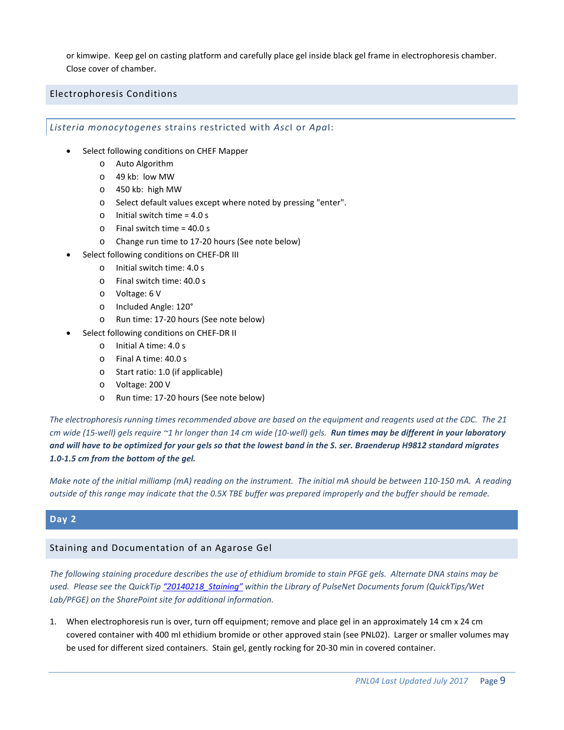or kimwipe. Keep gel on casting platform and carefully place gel inside black gel frame in electrophoresis chamber. Close cover of chamber.

## Electrophoresis Conditions

*Listeria monocytogenes* strains restricted with *Asc*I or *Apa*I:

- Select following conditions on CHEF Mapper
	- o Auto Algorithm
	- o 49 kb: low MW
	- o 450 kb: high MW
	- o Select default values except where noted by pressing "enter".
	- o Initial switch time = 4.0 s
	- o Final switch time = 40.0 s
	- o Change run time to 17-20 hours (See note below)
- Select following conditions on CHEF-DR III
	- o Initial switch time: 4.0 s
	- o Final switch time: 40.0 s
	- o Voltage: 6 V
	- o Included Angle: 120°
	- o Run time: 17-20 hours (See note below)
- Select following conditions on CHEF-DR II
	- o Initial A time: 4.0 s
	- o Final A time: 40.0 s
	- o Start ratio: 1.0 (if applicable)
	- o Voltage: 200 V
	- o Run time: 17-20 hours (See note below)

*The electrophoresis running times recommended above are based on the equipment and reagents used at the CDC. The 21 cm wide (15-well) gels require ~1 hr longer than 14 cm wide (10-well) gels. Run times may be different in your laboratory and will have to be optimized for your gels so that the lowest band in the S. ser. Braenderup H9812 standard migrates 1.0-1.5 cm from the bottom of the gel.*

*Make note of the initial milliamp (mA) reading on the instrument. The initial mA should be between 110-150 mA. A reading outside of this range may indicate that the 0.5X TBE buffer was prepared improperly and the buffer should be remade.* 

# **Day 2**

# Staining and Documentation of an Agarose Gel

*The following staining procedure describes the use of ethidium bromide to stain PFGE gels. Alternate DNA stains may be used. Please see the QuickTip ["20140218\\_Staining"](https://partner.cdc.gov/Sites/NCEZID/DFWED/EDLB/PulseNet/DL%20Important%20PulseNet%20Documents/QuickTips/Wet%20Lab/PFGE/20140218_Staining.pdf) within the Library of PulseNet Documents forum (QuickTips/Wet Lab/PFGE) on the SharePoint site for additional information.*

1. When electrophoresis run is over, turn off equipment; remove and place gel in an approximately 14 cm x 24 cm covered container with 400 ml ethidium bromide or other approved stain (see PNL02). Larger or smaller volumes may be used for different sized containers. Stain gel, gently rocking for 20-30 min in covered container.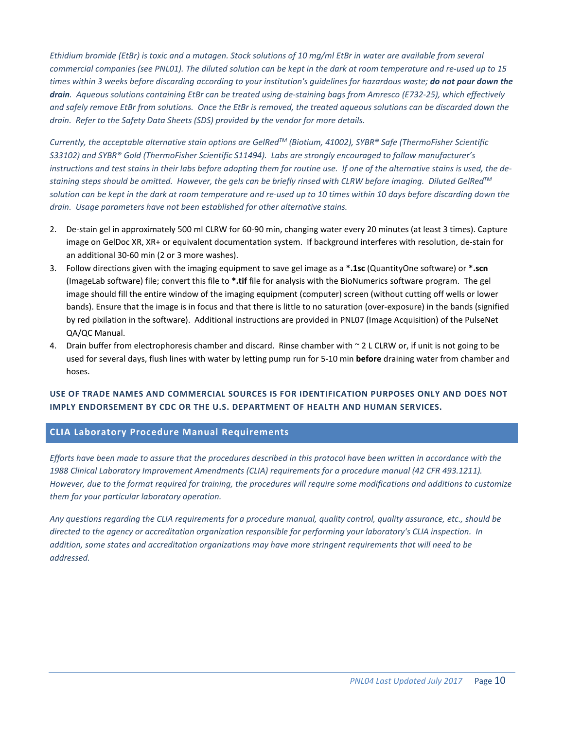*Ethidium bromide (EtBr) is toxic and a mutagen. Stock solutions of 10 mg/ml EtBr in water are available from several commercial companies (see PNL01). The diluted solution can be kept in the dark at room temperature and re-used up to 15 times within 3 weeks before discarding according to your institution's guidelines for hazardous waste; do not pour down the drain. Aqueous solutions containing EtBr can be treated using de-staining bags from Amresco (E732-25), which effectively and safely remove EtBr from solutions. Once the EtBr is removed, the treated aqueous solutions can be discarded down the drain. Refer to the Safety Data Sheets (SDS) provided by the vendor for more details.*

*Currently, the acceptable alternative stain options are GelRedTM (Biotium, 41002), SYBR® Safe (ThermoFisher Scientific S33102) and SYBR® Gold (ThermoFisher Scientific S11494). Labs are strongly encouraged to follow manufacturer's instructions and test stains in their labs before adopting them for routine use. If one of the alternative stains is used, the destaining steps should be omitted. However, the gels can be briefly rinsed with CLRW before imaging. Diluted GelRedTM solution can be kept in the dark at room temperature and re-used up to 10 times within 10 days before discarding down the drain. Usage parameters have not been established for other alternative stains.*

- 2. De-stain gel in approximately 500 ml CLRW for 60-90 min, changing water every 20 minutes (at least 3 times). Capture image on GelDoc XR, XR+ or equivalent documentation system. If background interferes with resolution, de-stain for an additional 30-60 min (2 or 3 more washes).
- 3. Follow directions given with the imaging equipment to save gel image as a **\*.1sc** (QuantityOne software) or **\*.scn** (ImageLab software) file; convert this file to **\*.tif** file for analysis with the BioNumerics software program. The gel image should fill the entire window of the imaging equipment (computer) screen (without cutting off wells or lower bands). Ensure that the image is in focus and that there is little to no saturation (over-exposure) in the bands (signified by red pixilation in the software). Additional instructions are provided in PNL07 (Image Acquisition) of the PulseNet QA/QC Manual.
- 4. Drain buffer from electrophoresis chamber and discard. Rinse chamber with  $\sim$  2 L CLRW or, if unit is not going to be used for several days, flush lines with water by letting pump run for 5-10 min **before** draining water from chamber and hoses.

# **USE OF TRADE NAMES AND COMMERCIAL SOURCES IS FOR IDENTIFICATION PURPOSES ONLY AND DOES NOT IMPLY ENDORSEMENT BY CDC OR THE U.S. DEPARTMENT OF HEALTH AND HUMAN SERVICES.**

# **CLIA Laboratory Procedure Manual Requirements**

*Efforts have been made to assure that the procedures described in this protocol have been written in accordance with the*  1988 Clinical Laboratory Improvement Amendments (CLIA) requirements for a procedure manual (42 CFR 493.1211). *However, due to the format required for training, the procedures will require some modifications and additions to customize them for your particular laboratory operation.*

*Any questions regarding the CLIA requirements for a procedure manual, quality control, quality assurance, etc., should be directed to the agency or accreditation organization responsible for performing your laboratory's CLIA inspection. In addition, some states and accreditation organizations may have more stringent requirements that will need to be addressed.*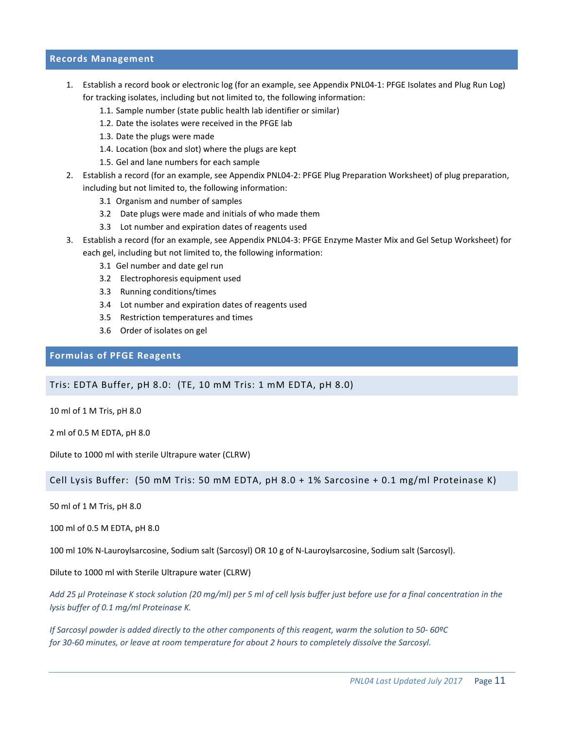### **Records Management**

- 1. Establish a record book or electronic log (for an example, see Appendix PNL04-1: PFGE Isolates and Plug Run Log) for tracking isolates, including but not limited to, the following information:
	- 1.1. Sample number (state public health lab identifier or similar)
	- 1.2. Date the isolates were received in the PFGE lab
	- 1.3. Date the plugs were made
	- 1.4. Location (box and slot) where the plugs are kept
	- 1.5. Gel and lane numbers for each sample
- 2. Establish a record (for an example, see Appendix PNL04-2: PFGE Plug Preparation Worksheet) of plug preparation, including but not limited to, the following information:
	- 3.1 Organism and number of samples
	- 3.2 Date plugs were made and initials of who made them
	- 3.3 Lot number and expiration dates of reagents used
- 3. Establish a record (for an example, see Appendix PNL04-3: PFGE Enzyme Master Mix and Gel Setup Worksheet) for each gel, including but not limited to, the following information:
	- 3.1 Gel number and date gel run
	- 3.2 Electrophoresis equipment used
	- 3.3 Running conditions/times
	- 3.4 Lot number and expiration dates of reagents used
	- 3.5 Restriction temperatures and times
	- 3.6 Order of isolates on gel

#### **Formulas of PFGE Reagents**

Tris: EDTA Buffer, pH 8.0: (TE, 10 mM Tris: 1 mM EDTA, pH 8.0)

10 ml of 1 M Tris, pH 8.0

2 ml of 0.5 M EDTA, pH 8.0

Dilute to 1000 ml with sterile Ultrapure water (CLRW)

Cell Lysis Buffer: (50 mM Tris: 50 mM EDTA, pH 8.0 + 1% Sarcosine + 0.1 mg/ml Proteinase K)

50 ml of 1 M Tris, pH 8.0

100 ml of 0.5 M EDTA, pH 8.0

100 ml 10% N-Lauroylsarcosine, Sodium salt (Sarcosyl) OR 10 g of N-Lauroylsarcosine, Sodium salt (Sarcosyl).

Dilute to 1000 ml with Sterile Ultrapure water (CLRW)

*Add 25 µl Proteinase K stock solution (20 mg/ml) per 5 ml of cell lysis buffer just before use for a final concentration in the lysis buffer of 0.1 mg/ml Proteinase K.*

*If Sarcosyl powder is added directly to the other components of this reagent, warm the solution to 50- 60ºC for 30-60 minutes, or leave at room temperature for about 2 hours to completely dissolve the Sarcosyl.*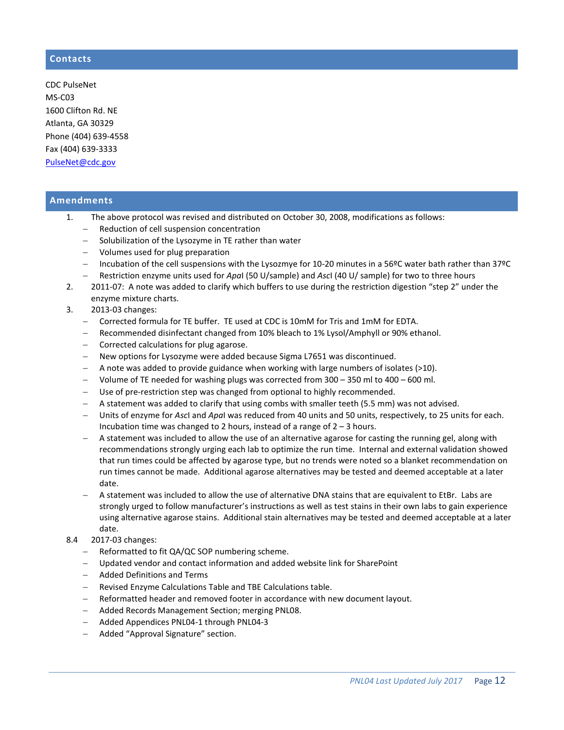# **Contacts**

CDC PulseNet MS-C03 1600 Clifton Rd. NE Atlanta, GA 30329 Phone (404) 639-4558 Fax (404) 639-3333 [PulseNet@cdc.gov](mailto:PulseNet@cdc.gov)

## **Amendments**

- 1. The above protocol was revised and distributed on October 30, 2008, modifications as follows:
	- − Reduction of cell suspension concentration
	- − Solubilization of the Lysozyme in TE rather than water
	- − Volumes used for plug preparation
	- − Incubation of the cell suspensions with the Lysozmye for 10-20 minutes in a 56ºC water bath rather than 37ºC − Restriction enzyme units used for *Apa*I (50 U/sample) and *Asc*I (40 U/ sample) for two to three hours
- 2. 2011-07: A note was added to clarify which buffers to use during the restriction digestion "step 2" under the enzyme mixture charts.
- 3. 2013-03 changes:
	- − Corrected formula for TE buffer. TE used at CDC is 10mM for Tris and 1mM for EDTA.
	- − Recommended disinfectant changed from 10% bleach to 1% Lysol/Amphyll or 90% ethanol.
	- − Corrected calculations for plug agarose.
	- − New options for Lysozyme were added because Sigma L7651 was discontinued.
	- − A note was added to provide guidance when working with large numbers of isolates (>10).
	- − Volume of TE needed for washing plugs was corrected from 300 350 ml to 400 600 ml.
	- − Use of pre-restriction step was changed from optional to highly recommended.
	- − A statement was added to clarify that using combs with smaller teeth (5.5 mm) was not advised.
	- − Units of enzyme for *Asc*I and *Apa*I was reduced from 40 units and 50 units, respectively, to 25 units for each. Incubation time was changed to 2 hours, instead of a range of  $2 - 3$  hours.
	- − A statement was included to allow the use of an alternative agarose for casting the running gel, along with recommendations strongly urging each lab to optimize the run time. Internal and external validation showed that run times could be affected by agarose type, but no trends were noted so a blanket recommendation on run times cannot be made. Additional agarose alternatives may be tested and deemed acceptable at a later date.
	- − A statement was included to allow the use of alternative DNA stains that are equivalent to EtBr. Labs are strongly urged to follow manufacturer's instructions as well as test stains in their own labs to gain experience using alternative agarose stains. Additional stain alternatives may be tested and deemed acceptable at a later date.

#### 8.4 2017-03 changes:

- − Reformatted to fit QA/QC SOP numbering scheme.
- − Updated vendor and contact information and added website link for SharePoint
- − Added Definitions and Terms
- − Revised Enzyme Calculations Table and TBE Calculations table.
- − Reformatted header and removed footer in accordance with new document layout.
- − Added Records Management Section; merging PNL08.
- − Added Appendices PNL04-1 through PNL04-3
- − Added "Approval Signature" section.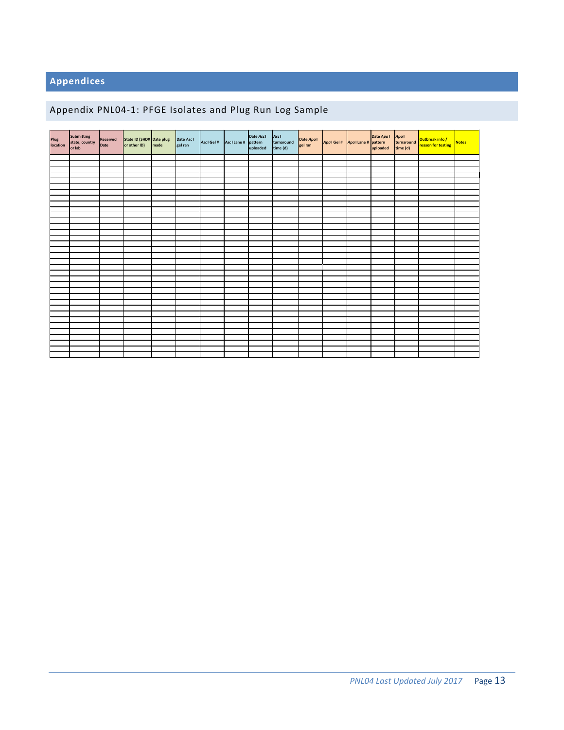# **Appendices**

# Appendix PNL04-1: PFGE Isolates and Plug Run Log Sample

| Plug<br>Iocation | Submitting<br>state, country<br>or lab | Received<br>Date | State ID (SHD# Date plug<br>or other ID) made | Date Ascl<br>gel ran | Asci Gel # Asci Lane # pattern | Date Asc1<br>uploaded | Ascl<br>turnaround<br>time (d) | Date Apal<br>gel ran | Apal Gel # Apal Lane # pattern |  | Date Apal<br>pattern turnaround Outbreak info /<br>uploaded time (d) | Notes |
|------------------|----------------------------------------|------------------|-----------------------------------------------|----------------------|--------------------------------|-----------------------|--------------------------------|----------------------|--------------------------------|--|----------------------------------------------------------------------|-------|
|                  |                                        |                  |                                               |                      |                                |                       |                                |                      |                                |  |                                                                      |       |
|                  |                                        |                  |                                               |                      |                                |                       |                                |                      |                                |  |                                                                      |       |
|                  |                                        |                  |                                               |                      |                                |                       |                                |                      |                                |  |                                                                      |       |
|                  |                                        |                  |                                               |                      |                                |                       |                                |                      |                                |  |                                                                      |       |
|                  |                                        |                  |                                               |                      |                                |                       |                                |                      |                                |  |                                                                      |       |
|                  |                                        |                  |                                               |                      |                                |                       |                                |                      |                                |  |                                                                      |       |
|                  |                                        |                  |                                               |                      |                                |                       |                                |                      |                                |  |                                                                      |       |
|                  |                                        |                  |                                               |                      |                                |                       |                                |                      |                                |  |                                                                      |       |
|                  |                                        |                  |                                               |                      |                                |                       |                                |                      |                                |  |                                                                      |       |
|                  |                                        |                  |                                               |                      |                                |                       |                                |                      |                                |  |                                                                      |       |
|                  |                                        |                  |                                               |                      |                                |                       |                                |                      |                                |  |                                                                      |       |
|                  |                                        |                  |                                               |                      |                                |                       |                                |                      |                                |  |                                                                      |       |
|                  |                                        |                  |                                               |                      |                                |                       |                                |                      |                                |  |                                                                      |       |
|                  |                                        |                  |                                               |                      |                                |                       |                                |                      |                                |  |                                                                      |       |
|                  |                                        |                  |                                               |                      |                                |                       |                                |                      |                                |  |                                                                      |       |
|                  |                                        |                  |                                               |                      |                                |                       |                                |                      |                                |  |                                                                      |       |
|                  |                                        |                  |                                               |                      |                                |                       |                                |                      |                                |  |                                                                      |       |
|                  |                                        |                  |                                               |                      |                                |                       |                                |                      |                                |  |                                                                      |       |
|                  |                                        |                  |                                               |                      |                                |                       |                                |                      |                                |  |                                                                      |       |
|                  |                                        |                  |                                               |                      |                                |                       |                                |                      |                                |  |                                                                      |       |
|                  |                                        |                  |                                               |                      |                                |                       |                                |                      |                                |  |                                                                      |       |
|                  |                                        |                  |                                               |                      |                                |                       |                                |                      |                                |  |                                                                      |       |
|                  |                                        |                  |                                               |                      |                                |                       |                                |                      |                                |  |                                                                      |       |
|                  |                                        |                  |                                               |                      |                                |                       |                                |                      |                                |  |                                                                      |       |
|                  |                                        |                  |                                               |                      |                                |                       |                                |                      |                                |  |                                                                      |       |
|                  |                                        |                  |                                               |                      |                                |                       |                                |                      |                                |  |                                                                      |       |
|                  |                                        |                  |                                               |                      |                                |                       |                                |                      |                                |  |                                                                      |       |
|                  |                                        |                  |                                               |                      |                                |                       |                                |                      |                                |  |                                                                      |       |
|                  |                                        |                  |                                               |                      |                                |                       |                                |                      |                                |  |                                                                      |       |
|                  |                                        |                  |                                               |                      |                                |                       |                                |                      |                                |  |                                                                      |       |
|                  |                                        |                  |                                               |                      |                                |                       |                                |                      |                                |  |                                                                      |       |
|                  |                                        |                  |                                               |                      |                                |                       |                                |                      |                                |  |                                                                      |       |
|                  |                                        |                  |                                               |                      |                                |                       |                                |                      |                                |  |                                                                      |       |
|                  |                                        |                  |                                               |                      |                                |                       |                                |                      |                                |  |                                                                      |       |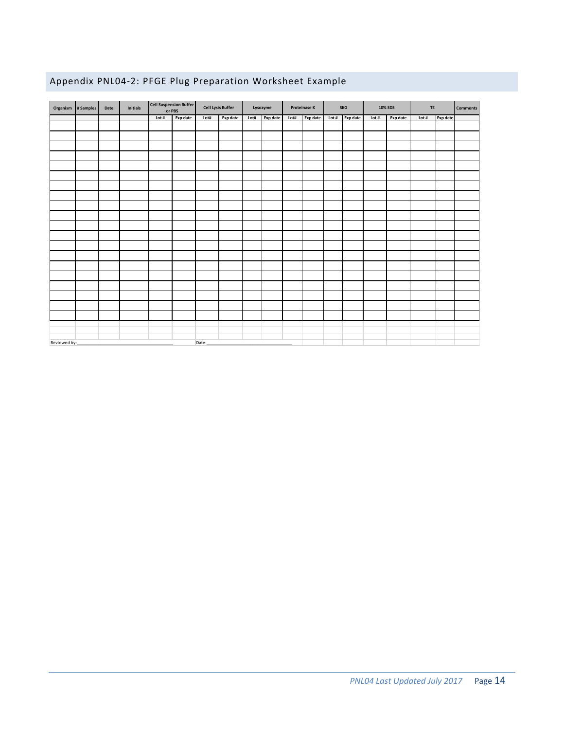# Appendix PNL04-2: PFGE Plug Preparation Worksheet Example

|              | Organism # Samples | Date | Initials |       | Cell Suspension Buffer<br>or PBS | <b>Cell Lysis Buffer</b> |          | Lysozyme |          |      | Proteinase K | SKG     |          | 10% SDS |          | TE    |          | <b>Comments</b> |
|--------------|--------------------|------|----------|-------|----------------------------------|--------------------------|----------|----------|----------|------|--------------|---------|----------|---------|----------|-------|----------|-----------------|
|              |                    |      |          | Lot # | Exp date                         | Lot#                     | Exp date | Lot#     | Exp date | Lot# | Exp date     | Lot $#$ | Exp date | Lot #   | Exp date | Lot # | Exp date |                 |
|              |                    |      |          |       |                                  |                          |          |          |          |      |              |         |          |         |          |       |          |                 |
|              |                    |      |          |       |                                  |                          |          |          |          |      |              |         |          |         |          |       |          |                 |
|              |                    |      |          |       |                                  |                          |          |          |          |      |              |         |          |         |          |       |          |                 |
|              |                    |      |          |       |                                  |                          |          |          |          |      |              |         |          |         |          |       |          |                 |
|              |                    |      |          |       |                                  |                          |          |          |          |      |              |         |          |         |          |       |          |                 |
|              |                    |      |          |       |                                  |                          |          |          |          |      |              |         |          |         |          |       |          |                 |
|              |                    |      |          |       |                                  |                          |          |          |          |      |              |         |          |         |          |       |          |                 |
|              |                    |      |          |       |                                  |                          |          |          |          |      |              |         |          |         |          |       |          |                 |
|              |                    |      |          |       |                                  |                          |          |          |          |      |              |         |          |         |          |       |          |                 |
|              |                    |      |          |       |                                  |                          |          |          |          |      |              |         |          |         |          |       |          |                 |
|              |                    |      |          |       |                                  |                          |          |          |          |      |              |         |          |         |          |       |          |                 |
|              |                    |      |          |       |                                  |                          |          |          |          |      |              |         |          |         |          |       |          |                 |
|              |                    |      |          |       |                                  |                          |          |          |          |      |              |         |          |         |          |       |          |                 |
|              |                    |      |          |       |                                  |                          |          |          |          |      |              |         |          |         |          |       |          |                 |
|              |                    |      |          |       |                                  |                          |          |          |          |      |              |         |          |         |          |       |          |                 |
|              |                    |      |          |       |                                  |                          |          |          |          |      |              |         |          |         |          |       |          |                 |
|              |                    |      |          |       |                                  |                          |          |          |          |      |              |         |          |         |          |       |          |                 |
|              |                    |      |          |       |                                  |                          |          |          |          |      |              |         |          |         |          |       |          |                 |
|              |                    |      |          |       |                                  |                          |          |          |          |      |              |         |          |         |          |       |          |                 |
|              |                    |      |          |       |                                  |                          |          |          |          |      |              |         |          |         |          |       |          |                 |
|              |                    |      |          |       |                                  |                          |          |          |          |      |              |         |          |         |          |       |          |                 |
|              |                    |      |          |       |                                  |                          |          |          |          |      |              |         |          |         |          |       |          |                 |
| Reviewed by: |                    |      |          |       |                                  | Date:                    |          |          |          |      |              |         |          |         |          |       |          |                 |